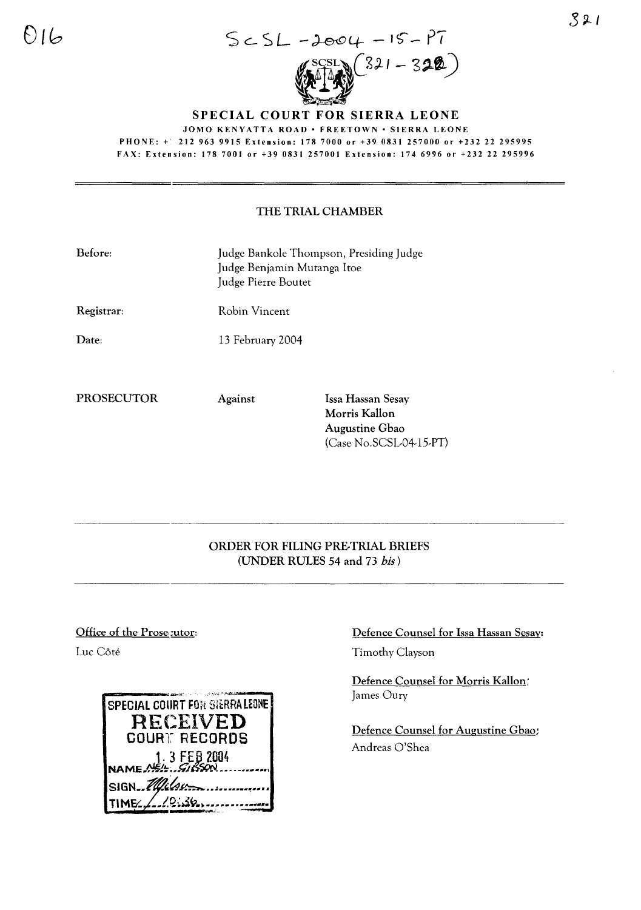

SPECIAL COURT FOR SIERRA LEONE

JOMO KENYATTA ROAD • FREETOWN • SIERRA LEONE PHONE: + 212 963 9915 Extension: 178 7000 or +39 0831 257000 or +232 22 295995 FAX: Extension: 1787001 or +39 0831257001 Extension: 1746996 or +23222295996

## THE TRIAL CHAMBER

| Before:    | Judge Bankole Thompson, Presiding Judge<br>Judge Benjamin Mutanga Itoe<br>Judge Pierre Boutet |                                                      |
|------------|-----------------------------------------------------------------------------------------------|------------------------------------------------------|
| Registrar: | Robin Vincent                                                                                 |                                                      |
| Date:      | 13 February 2004                                                                              |                                                      |
| PROSECUTOR | <b>Against</b>                                                                                | Issa Hassan Sesay<br>Morris Kallon<br>Augustine Gbao |

## ORDER FOR FILING PRE-TRIAL BRIEFS (UNDER RULES 54 and 73 *his)*

## Office of the Prose putor:

Luc Côté

| SPECIAL COURT FOR STERRALEONE |
|-------------------------------|
| RECEIVED                      |
| COURT RECORDS                 |
| $1.3$ FEB 2004<br>NAME        |
|                               |
| SIGN Milsum                   |
|                               |

## Defence Counsel for Issa Hassan Sesay:

Timothy Clayson

(Case No.SCSL-04-l5-PT)

Defence Counsel for Morris Kallon: James Oury

Defence Counsel for Augustine Ghao; Andreas O'Shea